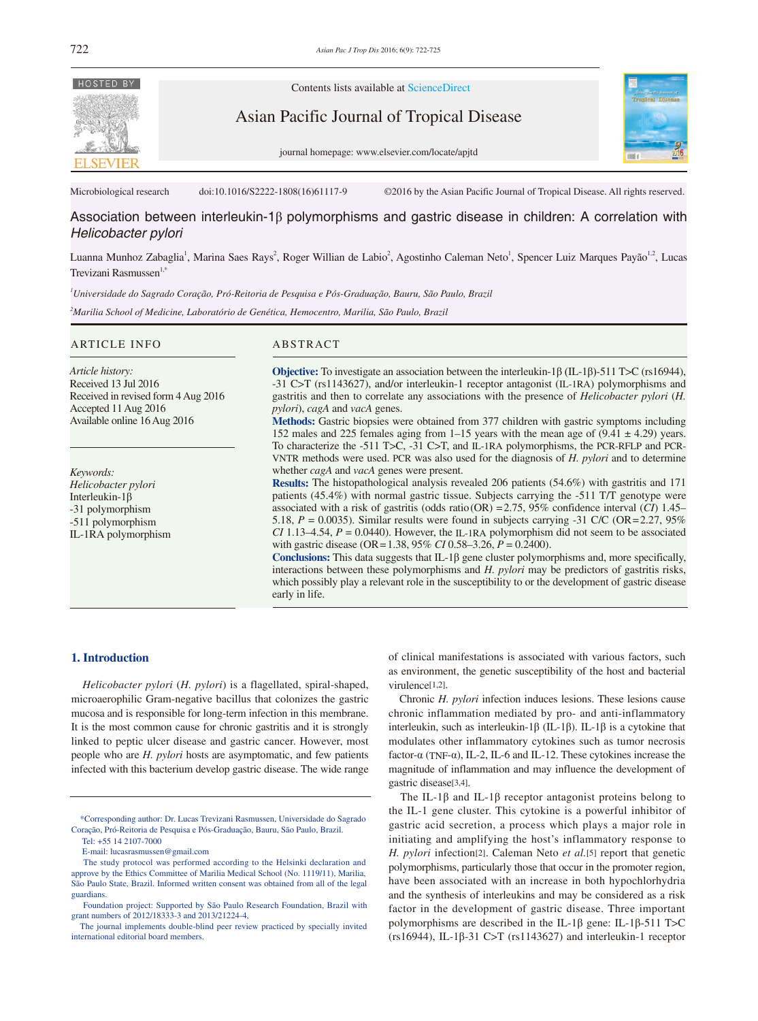

Contents lists available at ScienceDirect

Asian Pacific Journal of Tropical Disease





Microbiological research doi:10.1016/S2222-1808(16)61117-9 ©2016 by the Asian Pacific Journal of Tropical Disease. All rights reserved.

# Association between interleukin-1β polymorphisms and gastric disease in children: A correlation with *Helicobacter pylori*

Luanna Munhoz Zabaglia<sup>1</sup>, Marina Saes Rays<sup>2</sup>, Roger Willian de Labio<sup>2</sup>, Agostinho Caleman Neto<sup>1</sup>, Spencer Luiz Marques Payão<sup>1,2</sup>, Lucas Trevizani Rasmussen<sup>1,2</sup>

*1 Universidade do Sagrado Coração, Pró-Reitoria de Pesquisa e Pós-Graduação, Bauru, São Paulo, Brazil*

*2 Marilia School of Medicine, Laboratório de Genética, Hemocentro, Marilia, São Paulo, Brazil*

# ARTICLE INFO ABSTRACT

**Objective:** To investigate an association between the interleukin-1β (IL-1β)-511 T>C (rs16944), -31 C>T (rs1143627), and/or interleukin-1 receptor antagonist (IL-1RA) polymorphisms and gastritis and then to correlate any associations with the presence of *Helicobacter pylori* (*H. pylori*), *cagA* and *vacA* genes. **Methods:** Gastric biopsies were obtained from 377 children with gastric symptoms including *Article history:* Received 13 Jul 2016 Received in revised form 4 Aug 2016 Accepted 11 Aug 2016 Available online 16 Aug 2016

152 males and 225 females aging from 1–15 years with the mean age of  $(9.41 \pm 4.29)$  years. To characterize the -511 T>C, -31 C>T, and IL-1RA polymorphisms, the PCR-RFLP and PCR-VNTR methods were used. PCR was also used for the diagnosis of *H. pylori* and to determine whether *cagA* and *vacA* genes were present. **Results:** The histopathological analysis revealed 206 patients (54.6%) with gastritis and 171

patients (45.4%) with normal gastric tissue. Subjects carrying the -511 T/T genotype were associated with a risk of gastritis (odds ratio(OR) =2.75, 95% confidence interval (*CI*) 1.45– 5.18,  $P = 0.0035$ ). Similar results were found in subjects carrying -31 C/C (OR=2.27, 95%) *CI* 1.13–4.54,  $P = 0.0440$ . However, the IL-1RA polymorphism did not seem to be associated with gastric disease (OR=1.38, 95% *CI* 0.58–3.26, *P* = 0.2400).

**Conclusions:** This data suggests that IL-1 $\beta$  gene cluster polymorphisms and, more specifically, interactions between these polymorphisms and *H. pylori* may be predictors of gastritis risks, which possibly play a relevant role in the susceptibility to or the development of gastric disease early in life.

## **1. Introduction**

*Keywords: Helicobacter pylori* Interleukin-1β -31 polymorphism -511 polymorphism IL-1RA polymorphism

 *Helicobacter pylori* (*H. pylori*) is a flagellated, spiral-shaped, microaerophilic Gram-negative bacillus that colonizes the gastric mucosa and is responsible for long-term infection in this membrane. It is the most common cause for chronic gastritis and it is strongly linked to peptic ulcer disease and gastric cancer. However, most people who are *H. pylori* hosts are asymptomatic, and few patients infected with this bacterium develop gastric disease. The wide range

of clinical manifestations is associated with various factors, such as environment, the genetic susceptibility of the host and bacterial virulence[1,2].

 Chronic *H. pylori* infection induces lesions. These lesions cause chronic inflammation mediated by pro- and anti-inflammatory interleukin, such as interleukin-1β (IL-1β). IL-1β is a cytokine that modulates other inflammatory cytokines such as tumor necrosis factor- $\alpha$  (TNF- $\alpha$ ), IL-2, IL-6 and IL-12. These cytokines increase the magnitude of inflammation and may influence the development of gastric disease[3,4].

The IL-1 $\beta$  and IL-1 $\beta$  receptor antagonist proteins belong to the IL-1 gene cluster. This cytokine is a powerful inhibitor of gastric acid secretion, a process which plays a major role in initiating and amplifying the host's inflammatory response to *H. pylori* infection[2]. Caleman Neto *et al.*[5] report that genetic polymorphisms, particularly those that occur in the promoter region, have been associated with an increase in both hypochlorhydria and the synthesis of interleukins and may be considered as a risk factor in the development of gastric disease. Three important polymorphisms are described in the IL-1β gene: IL-1β-511 T>C (rs16944), IL-1β-31 C>T (rs1143627) and interleukin-1 receptor

 <sup>\*</sup>Corresponding author: Dr. Lucas Trevizani Rasmussen, Universidade do Sagrado Coração, Pró-Reitoria de Pesquisa e Pós-Graduação, Bauru, São Paulo, Brazil.

Tel: +55 14 2107-7000

E-mail: lucasrasmussen@gmail.com

The study protocol was performed according to the Helsinki declaration and approve by the Ethics Committee of Marilia Medical School (No. 1119/11), Marilia, São Paulo State, Brazil. Informed written consent was obtained from all of the legal guardians.

Foundation project: Supported by São Paulo Research Foundation, Brazil with grant numbers of 2012/18333-3 and 2013/21224-4,

The journal implements double-blind peer review practiced by specially invited international editorial board members.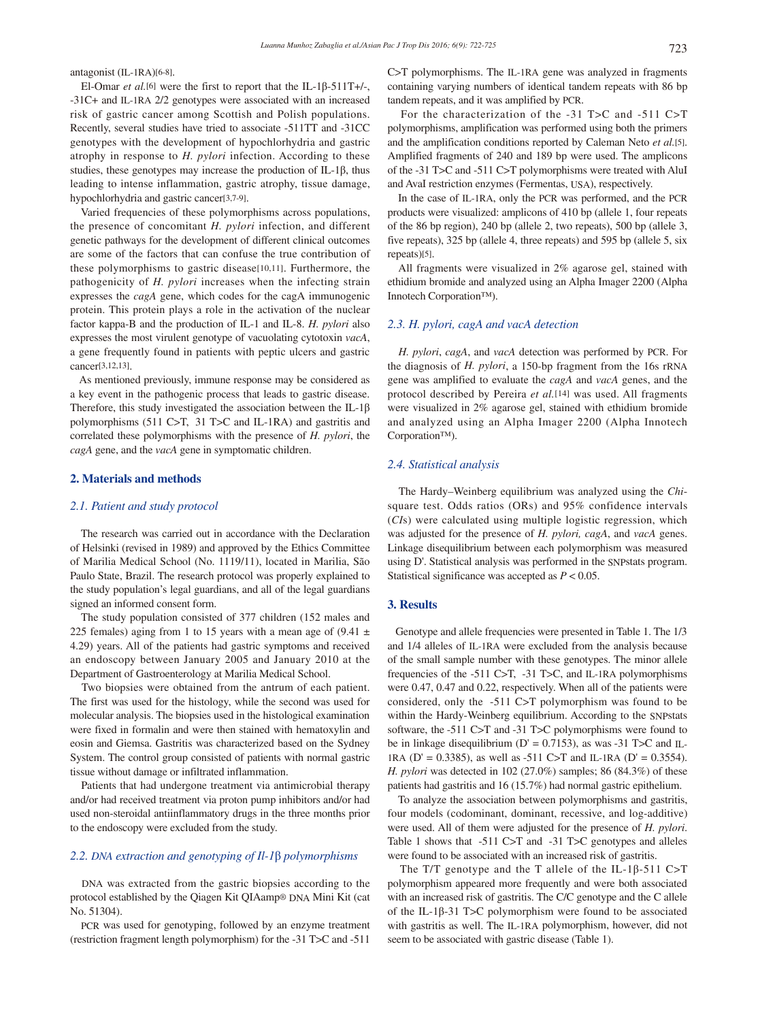antagonist (IL-1RA)[6-8].

 El-Omar *et al.*[6] were the first to report that the IL-1β-511T+/-, -31C+ and IL-1RA 2/2 genotypes were associated with an increased risk of gastric cancer among Scottish and Polish populations. Recently, several studies have tried to associate -511TT and -31CC genotypes with the development of hypochlorhydria and gastric atrophy in response to *H. pylori* infection. According to these studies, these genotypes may increase the production of IL-1β, thus leading to intense inflammation, gastric atrophy, tissue damage, hypochlorhydria and gastric cancer[3,7-9].

 Varied frequencies of these polymorphisms across populations, the presence of concomitant *H. pylori* infection, and different genetic pathways for the development of different clinical outcomes are some of the factors that can confuse the true contribution of these polymorphisms to gastric disease[10,11]. Furthermore, the pathogenicity of *H. pylori* increases when the infecting strain expresses the *cagA* gene, which codes for the cagA immunogenic protein. This protein plays a role in the activation of the nuclear factor kappa-B and the production of IL-1 and IL-8. *H. pylori* also expresses the most virulent genotype of vacuolating cytotoxin *vacA*, a gene frequently found in patients with peptic ulcers and gastric cancer[3,12,13].

 As mentioned previously, immune response may be considered as a key event in the pathogenic process that leads to gastric disease. Therefore, this study investigated the association between the IL-1β polymorphisms (511 C>T, 31 T>C and IL-1RA) and gastritis and correlated these polymorphisms with the presence of *H. pylori*, the *cagA* gene, and the *vacA* gene in symptomatic children.

#### **2. Materials and methods**

### *2.1. Patient and study protocol*

 The research was carried out in accordance with the Declaration of Helsinki (revised in 1989) and approved by the Ethics Committee of Marilia Medical School (No. 1119/11), located in Marilia, São Paulo State, Brazil. The research protocol was properly explained to the study population's legal guardians, and all of the legal guardians signed an informed consent form.

 The study population consisted of 377 children (152 males and 225 females) aging from 1 to 15 years with a mean age of  $(9.41 \pm$ 4.29) years. All of the patients had gastric symptoms and received an endoscopy between January 2005 and January 2010 at the Department of Gastroenterology at Marilia Medical School.

 Two biopsies were obtained from the antrum of each patient. The first was used for the histology, while the second was used for molecular analysis. The biopsies used in the histological examination were fixed in formalin and were then stained with hematoxylin and eosin and Giemsa. Gastritis was characterized based on the Sydney System. The control group consisted of patients with normal gastric tissue without damage or infiltrated inflammation.

 Patients that had undergone treatment via antimicrobial therapy and/or had received treatment via proton pump inhibitors and/or had used non-steroidal antiinflammatory drugs in the three months prior to the endoscopy were excluded from the study.

## *2.2. DNA extraction and genotyping of Il-1*β *polymorphisms*

 DNA was extracted from the gastric biopsies according to the protocol established by the Qiagen Kit QIAamp® DNA Mini Kit (cat No. 51304).

 PCR was used for genotyping, followed by an enzyme treatment (restriction fragment length polymorphism) for the -31 T>C and -511

C>T polymorphisms. The IL-1RA gene was analyzed in fragments containing varying numbers of identical tandem repeats with 86 bp tandem repeats, and it was amplified by PCR.

 For the characterization of the -31 T>C and -511 C>T polymorphisms, amplification was performed using both the primers and the amplification conditions reported by Caleman Neto *et al.*[5]. Amplified fragments of 240 and 189 bp were used. The amplicons of the -31 T>C and -511 C>T polymorphisms were treated with AluI and AvaI restriction enzymes (Fermentas, USA), respectively.

 In the case of IL-1RA, only the PCR was performed, and the PCR products were visualized: amplicons of 410 bp (allele 1, four repeats of the 86 bp region), 240 bp (allele 2, two repeats), 500 bp (allele 3, five repeats), 325 bp (allele 4, three repeats) and 595 bp (allele 5, six repeats)[5].

 All fragments were visualized in 2% agarose gel, stained with ethidium bromide and analyzed using an Alpha Imager 2200 (Alpha Innotech Corporation™).

#### *2.3. H. pylori, cagA and vacA detection*

 *H. pylori*, *cagA*, and *vacA* detection was performed by PCR. For the diagnosis of *H. pylori*, a 150-bp fragment from the 16s rRNA gene was amplified to evaluate the *cagA* and *vacA* genes, and the protocol described by Pereira *et al.*[14] was used. All fragments were visualized in 2% agarose gel, stained with ethidium bromide and analyzed using an Alpha Imager 2200 (Alpha Innotech Corporation™).

### *2.4. Statistical analysis*

 The Hardy–Weinberg equilibrium was analyzed using the *Chi*square test. Odds ratios (ORs) and 95% confidence intervals (*CI*s) were calculated using multiple logistic regression, which was adjusted for the presence of *H. pylori, cagA*, and *vacA* genes. Linkage disequilibrium between each polymorphism was measured using D'. Statistical analysis was performed in the SNPstats program. Statistical significance was accepted as *P* < 0.05.

#### **3. Results**

 Genotype and allele frequencies were presented in Table 1. The 1/3 and 1/4 alleles of IL-1RA were excluded from the analysis because of the small sample number with these genotypes. The minor allele frequencies of the -511 C>T, -31 T>C, and IL-1RA polymorphisms were 0.47, 0.47 and 0.22, respectively. When all of the patients were considered, only the -511 C>T polymorphism was found to be within the Hardy-Weinberg equilibrium. According to the SNPstats software, the -511 C>T and -31 T>C polymorphisms were found to be in linkage disequilibrium (D' = 0.7153), as was -31 T>C and IL-1RA (D' = 0.3385), as well as -511 C>T and IL-1RA (D' = 0.3554). *H. pylori* was detected in 102 (27.0%) samples; 86 (84.3%) of these patients had gastritis and 16 (15.7%) had normal gastric epithelium.

 To analyze the association between polymorphisms and gastritis, four models (codominant, dominant, recessive, and log-additive) were used. All of them were adjusted for the presence of *H. pylori*. Table 1 shows that -511 C>T and -31 T>C genotypes and alleles were found to be associated with an increased risk of gastritis.

 The T/T genotype and the T allele of the IL-1β-511 C>T polymorphism appeared more frequently and were both associated with an increased risk of gastritis. The C/C genotype and the C allele of the IL-1β-31 T>C polymorphism were found to be associated with gastritis as well. The IL-1RA polymorphism, however, did not seem to be associated with gastric disease (Table 1).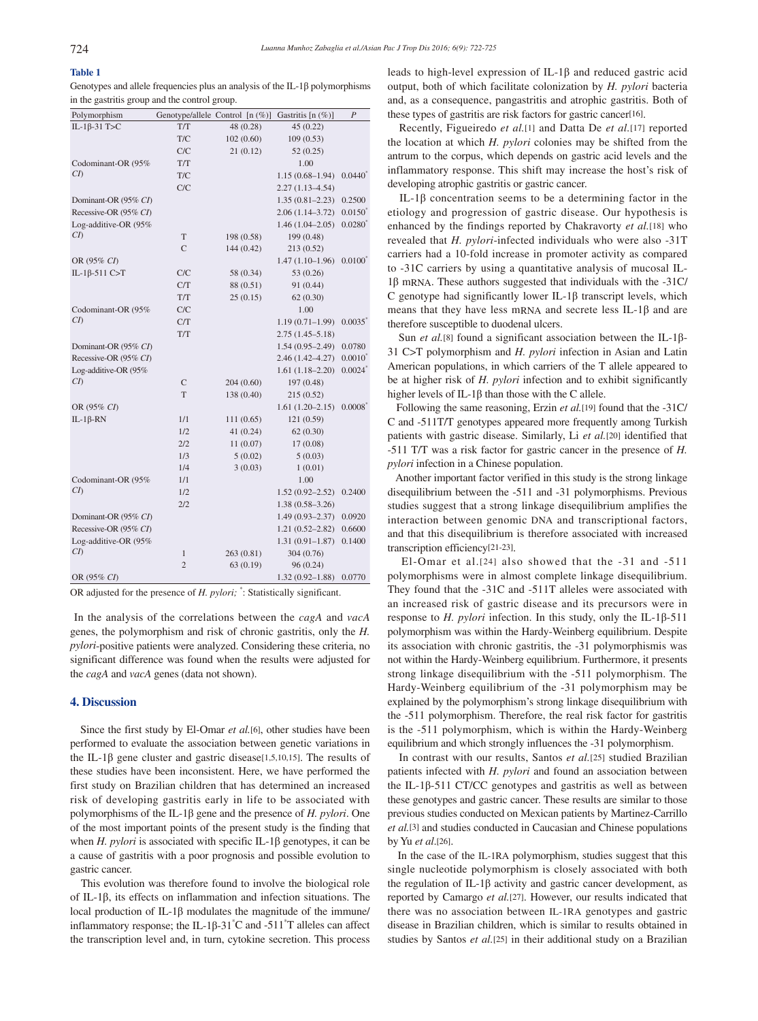# **Table 1**

Genotypes and allele frequencies plus an analysis of the IL-1β polymorphisms in the gastritis group and the control group.

| Polymorphism             |                | Genotype/allele Control [n (%)] | Gastritis [n (%)]   | $\overline{P}$     |
|--------------------------|----------------|---------------------------------|---------------------|--------------------|
| IL-1 $\beta$ -31 T>C     | T/T            | 48 (0.28)                       | 45(0.22)            |                    |
|                          | T/C            | 102(0.60)                       | 109(0.53)           |                    |
|                          | C/C            | 21(0.12)                        | 52(0.25)            |                    |
| Codominant-OR (95%       | T/T            |                                 | 1.00                |                    |
| CD                       | T/C            |                                 | $1.15(0.68 - 1.94)$ | $0.0440^*$         |
|                          | C/C            |                                 | $2.27(1.13 - 4.54)$ |                    |
| Dominant-OR (95% CI)     |                |                                 | $1.35(0.81 - 2.23)$ | 0.2500             |
| Recessive-OR (95% CI)    |                |                                 | $2.06(1.14 - 3.72)$ | $0.0150^*$         |
| Log-additive-OR (95%     |                |                                 | $1.46(1.04 - 2.05)$ | $0.0280^*$         |
| $\mathcal{C}\mathcal{D}$ | T              | 198 (0.58)                      | 199 (0.48)          |                    |
|                          | C              | 144(0.42)                       | 213 (0.52)          |                    |
| OR (95% CI)              |                |                                 | $1.47(1.10-1.96)$   | $0.0100^*$         |
| IL-1 $\beta$ -511 C>T    | C/C            | 58 (0.34)                       | 53 (0.26)           |                    |
|                          | C/T            | 88 (0.51)                       | 91 (0.44)           |                    |
|                          | T/T            | 25(0.15)                        | 62(0.30)            |                    |
| Codominant-OR (95%       | C/C            |                                 | 1.00                |                    |
| CI)                      | C/T            |                                 | $1.19(0.71 - 1.99)$ | 0.0035             |
|                          | T/T            |                                 | $2.75(1.45-5.18)$   |                    |
| Dominant-OR (95% CI)     |                |                                 | $1.54(0.95-2.49)$   | 0.0780             |
| Recessive-OR (95% CI)    |                |                                 | $2.46(1.42 - 4.27)$ | $0.0010^{*}$       |
| Log-additive-OR (95%     |                |                                 | $1.61(1.18 - 2.20)$ | $0.0024^*$         |
| $\mathcal{C}\mathcal{D}$ | $\mathsf{C}$   | 204(0.60)                       | 197 (0.48)          |                    |
|                          | T              | 138 (0.40)                      | 215(0.52)           |                    |
| OR (95% CI)              |                |                                 | $1.61(1.20-2.15)$   | $0.0008^{\degree}$ |
| IL-1 $\beta$ -RN         | 1/1            | 111(0.65)                       | 121 (0.59)          |                    |
|                          | 1/2            | 41(0.24)                        | 62(0.30)            |                    |
|                          | 2/2            | 11(0.07)                        | 17(0.08)            |                    |
|                          | 1/3            | 5(0.02)                         | 5(0.03)             |                    |
|                          | 1/4            | 3(0.03)                         | 1(0.01)             |                    |
| Codominant-OR (95%       | 1/1            |                                 | 1.00                |                    |
| $\mathcal{C}\mathcal{D}$ | 1/2            |                                 | $1.52(0.92 - 2.52)$ | 0.2400             |
|                          | 2/2            |                                 | $1.38(0.58 - 3.26)$ |                    |
| Dominant-OR (95% CI)     |                |                                 | $1.49(0.93 - 2.37)$ | 0.0920             |
| Recessive-OR (95% CI)    |                |                                 | $1.21(0.52 - 2.82)$ | 0.6600             |
| Log-additive-OR (95%     |                |                                 | $1.31(0.91 - 1.87)$ | 0.1400             |
| CI)                      | 1              | 263 (0.81)                      | 304(0.76)           |                    |
|                          | $\overline{2}$ | 63 (0.19)                       | 96 (0.24)           |                    |
| OR (95% CI)              |                |                                 | $1.32(0.92 - 1.88)$ | 0.0770             |

OR adjusted for the presence of *H. pylori;* \* : Statistically significant.

 In the analysis of the correlations between the *cagA* and *vacA* genes, the polymorphism and risk of chronic gastritis, only the *H. pylori*-positive patients were analyzed. Considering these criteria, no significant difference was found when the results were adjusted for the *cagA* and *vacA* genes (data not shown).

### **4. Discussion**

 Since the first study by El-Omar *et al.*[6], other studies have been performed to evaluate the association between genetic variations in the IL-1β gene cluster and gastric disease[1,5,10,15]. The results of these studies have been inconsistent. Here, we have performed the first study on Brazilian children that has determined an increased risk of developing gastritis early in life to be associated with polymorphisms of the IL-1β gene and the presence of *H. pylori*. One of the most important points of the present study is the finding that when *H. pylori* is associated with specific IL-1β genotypes, it can be a cause of gastritis with a poor prognosis and possible evolution to gastric cancer.

 This evolution was therefore found to involve the biological role of IL-1β, its effects on inflammation and infection situations. The local production of IL-1β modulates the magnitude of the immune/ inflammatory response; the IL-1β-31<sup>\*</sup>C and -511<sup>\*</sup>T alleles can affect the transcription level and, in turn, cytokine secretion. This process

leads to high-level expression of IL-1β and reduced gastric acid output, both of which facilitate colonization by *H. pylori* bacteria and, as a consequence, pangastritis and atrophic gastritis. Both of these types of gastritis are risk factors for gastric cancer[16].

 Recently, Figueiredo *et al.*[1] and Datta De *et al.*[17] reported the location at which *H. pylori* colonies may be shifted from the antrum to the corpus, which depends on gastric acid levels and the inflammatory response. This shift may increase the host's risk of developing atrophic gastritis or gastric cancer.

 IL-1β concentration seems to be a determining factor in the etiology and progression of gastric disease. Our hypothesis is enhanced by the findings reported by Chakravorty *et al.*[18] who revealed that *H. pylori*-infected individuals who were also -31T carriers had a 10-fold increase in promoter activity as compared to -31C carriers by using a quantitative analysis of mucosal IL-1β mRNA. These authors suggested that individuals with the -31C/ C genotype had significantly lower IL-1β transcript levels, which means that they have less mRNA and secrete less IL-1β and are therefore susceptible to duodenal ulcers.

 Sun *et al.*[8] found a significant association between the IL-1β-31 C>T polymorphism and *H. pylori* infection in Asian and Latin American populations, in which carriers of the T allele appeared to be at higher risk of *H. pylori* infection and to exhibit significantly higher levels of IL-1 $\beta$  than those with the C allele.

 Following the same reasoning, Erzin *et al.*[19] found that the -31C/ C and -511T/T genotypes appeared more frequently among Turkish patients with gastric disease. Similarly, Li *et al.*[20] identified that -511 T/T was a risk factor for gastric cancer in the presence of *H. pylori* infection in a Chinese population.

 Another important factor verified in this study is the strong linkage disequilibrium between the -511 and -31 polymorphisms. Previous studies suggest that a strong linkage disequilibrium amplifies the interaction between genomic DNA and transcriptional factors, and that this disequilibrium is therefore associated with increased transcription efficiency[21-23].

 El-Omar et al.[24] also showed that the -31 and -511 polymorphisms were in almost complete linkage disequilibrium. They found that the -31C and -511T alleles were associated with an increased risk of gastric disease and its precursors were in response to *H. pylori* infection. In this study, only the IL-1β-511 polymorphism was within the Hardy-Weinberg equilibrium. Despite its association with chronic gastritis, the -31 polymorphismis was not within the Hardy-Weinberg equilibrium. Furthermore, it presents strong linkage disequilibrium with the -511 polymorphism. The Hardy-Weinberg equilibrium of the -31 polymorphism may be explained by the polymorphism's strong linkage disequilibrium with the -511 polymorphism. Therefore, the real risk factor for gastritis is the -511 polymorphism, which is within the Hardy-Weinberg equilibrium and which strongly influences the -31 polymorphism.

 In contrast with our results, Santos *et al.*[25] studied Brazilian patients infected with *H. pylori* and found an association between the IL-1β-511 CT/CC genotypes and gastritis as well as between these genotypes and gastric cancer. These results are similar to those previous studies conducted on Mexican patients by Martinez-Carrillo *et al.*[3] and studies conducted in Caucasian and Chinese populations by Yu *et al*.[26].

 In the case of the IL-1RA polymorphism, studies suggest that this single nucleotide polymorphism is closely associated with both the regulation of IL-1β activity and gastric cancer development, as reported by Camargo *et al.*[27]. However, our results indicated that there was no association between IL-1RA genotypes and gastric disease in Brazilian children, which is similar to results obtained in studies by Santos *et al.*[25] in their additional study on a Brazilian